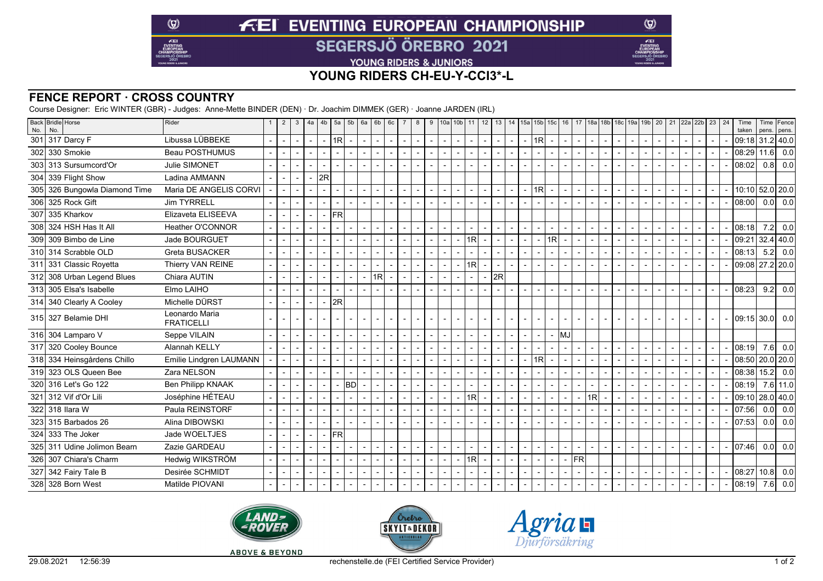# **FEI EVENTING EUROPEAN CHAMPIONSHIP SEGERSJÖ ÖREBRO 2021**

YOUNG RIDERS & JUNIORS

### **YOUNG RIDERS CH-EU-Y-CCI3\*-L**

### **FENCE REPORT · CROSS COUNTRY**

 $\circledcirc$ 

 $E$ EI

Course Designer: Eric WINTER (GBR) - Judges: Anne-Mette BINDER (DEN) · Dr. Joachim DIMMEK (GER) · Joanne JARDEN (IRL)

| No. | Back Bridle Horse<br>No.    | Rider                               | $\overline{2}$ | 3                        | 4a             | 4b                       | $5a$ 5b                  |                | 6а | $6b \mid 6c$             | 8 | 9                        | 10a            |                          |        |                          |                          | 10b 11   12   13   14   15a   15b   15c   16 |                          |                         |                          |                          |                |                |                                            |                |        | 17  18a  18b   18c   19a   19b   20   21  22a  22b   23 |                | 24 | Time<br>taken   |      | Time Fence<br>pens. pens. |
|-----|-----------------------------|-------------------------------------|----------------|--------------------------|----------------|--------------------------|--------------------------|----------------|----|--------------------------|---|--------------------------|----------------|--------------------------|--------|--------------------------|--------------------------|----------------------------------------------|--------------------------|-------------------------|--------------------------|--------------------------|----------------|----------------|--------------------------------------------|----------------|--------|---------------------------------------------------------|----------------|----|-----------------|------|---------------------------|
| 301 | 317 Darcy F                 | Libussa LÜBBEKE                     | $\blacksquare$ | $\overline{\phantom{a}}$ | $\blacksquare$ | $\blacksquare$           | 1R <sub>l</sub>          | $\blacksquare$ |    | $\blacksquare$           |   | $\sim$                   | $\blacksquare$ | $\blacksquare$           | $\sim$ | $\overline{\phantom{a}}$ | $\blacksquare$           | $\blacksquare$                               | $\blacksquare$           | 1R                      | $\overline{\phantom{a}}$ | $\blacksquare$           |                |                | $\sim$<br>$\blacksquare$                   | $\blacksquare$ |        | $\blacksquare$                                          | $\blacksquare$ |    | 09:18 31.2 40.0 |      |                           |
|     | 302 330 Smokie              | Beau POSTHUMUS                      |                |                          |                |                          |                          |                |    | $\blacksquare$           |   | $\blacksquare$           |                | $\overline{a}$           |        |                          | $\overline{\phantom{a}}$ |                                              |                          |                         | $\overline{\phantom{a}}$ |                          |                |                | $\blacksquare$                             |                |        | ٠                                                       |                |    | 08:29           | 11.6 | 0.0                       |
|     | 303 313 Sursumcord'Or       | Julie SIMONET                       |                |                          |                |                          |                          |                |    | $\overline{\phantom{a}}$ |   | $\blacksquare$           |                |                          |        |                          |                          |                                              |                          |                         | $\blacksquare$           |                          |                |                |                                            |                |        |                                                         |                |    | 08:02           |      | $0.8$ 0.0                 |
|     | 304 339 Flight Show         | Ladina AMMANN                       |                |                          |                | 2R                       |                          |                |    |                          |   |                          |                |                          |        |                          |                          |                                              |                          |                         |                          |                          |                |                |                                            |                |        |                                                         |                |    |                 |      |                           |
| 305 | 326 Bungowla Diamond Time   | Maria DE ANGELIS CORVI              |                |                          |                |                          |                          |                |    | $\blacksquare$           |   | $\overline{a}$           |                | $\overline{a}$           |        | $\overline{a}$           | $\blacksquare$           |                                              |                          | 1R                      |                          |                          |                |                | $\blacksquare$                             |                |        | ٠                                                       |                |    | 10:10 52.0 20.0 |      |                           |
|     | 306 325 Rock Gift           | <b>Jim TYRRELL</b>                  |                |                          |                |                          |                          |                |    | $\blacksquare$           |   |                          |                |                          |        |                          | $\overline{\phantom{a}}$ |                                              |                          |                         | $\overline{\phantom{a}}$ |                          |                |                | $\overline{a}$<br>$\overline{\phantom{0}}$ |                |        |                                                         |                |    | 08:00           |      | 0.0 0.0                   |
| 307 | 335 Kharkov                 | Elizaveta ELISEEVA                  |                |                          |                | $\overline{\phantom{0}}$ | <b>FR</b>                |                |    |                          |   |                          |                |                          |        |                          |                          |                                              |                          |                         |                          |                          |                |                |                                            |                |        |                                                         |                |    |                 |      |                           |
|     | 308 324 HSH Has It All      | Heather O'CONNOR                    |                |                          |                |                          |                          |                |    | $\blacksquare$           |   |                          |                |                          |        |                          | -                        |                                              |                          |                         | $\overline{\phantom{a}}$ |                          |                |                |                                            |                |        |                                                         |                |    | 08:18           | 7.2  | 0.0                       |
| 309 | 309 Bimbo de Line           | Jade BOURGUET                       |                |                          |                |                          |                          |                |    | $\blacksquare$           |   | $\blacksquare$           |                | $\overline{\phantom{a}}$ | 1R     |                          | $\blacksquare$           |                                              | $\blacksquare$           |                         | 1R                       |                          |                |                | $\blacksquare$<br>$\overline{a}$           | $\blacksquare$ |        | $\overline{\phantom{0}}$                                |                |    | 09:21           |      | 32.4 40.0                 |
|     | 310 314 Scrabble OLD        | Greta BUSACKER                      |                |                          |                |                          |                          |                |    | $\overline{\phantom{a}}$ |   |                          |                |                          |        |                          |                          |                                              |                          |                         |                          |                          |                |                | $\blacksquare$                             |                |        |                                                         |                |    | 08:13           | 5.2  | 0.0                       |
|     | 311 331 Classic Royetta     | Thierry VAN REINE                   |                |                          |                |                          |                          |                |    | $\blacksquare$           |   | $\blacksquare$           |                |                          | 1R     |                          |                          |                                              |                          |                         |                          |                          |                |                |                                            |                |        |                                                         |                |    | 09:08 27.2 20.0 |      |                           |
|     | 312 308 Urban Legend Blues  | Chiara AUTIN                        |                |                          |                |                          |                          |                |    | 1RI                      |   |                          |                |                          |        |                          | 2R                       |                                              |                          |                         |                          |                          |                |                |                                            |                |        |                                                         |                |    |                 |      |                           |
|     | 313 305 Elsa's Isabelle     | Elmo LAIHO                          |                |                          |                |                          |                          |                |    |                          |   | $\blacksquare$           |                | $\overline{a}$           |        | $\overline{a}$           | $\blacksquare$           |                                              | $\overline{\phantom{a}}$ |                         | $\blacksquare$           | $\overline{\phantom{a}}$ |                |                | $\blacksquare$<br>$\overline{a}$           | $\overline{a}$ |        | $\blacksquare$                                          |                |    | 08:23           | 9.2  | 0.0                       |
|     | 314 340 Clearly A Cooley    | Michelle DÜRST                      |                | $\blacksquare$           |                |                          | 2R                       |                |    |                          |   |                          |                |                          |        |                          |                          |                                              |                          |                         |                          |                          |                |                |                                            |                |        |                                                         |                |    |                 |      |                           |
|     | 315 327 Belamie DHI         | Leonardo Maria<br><b>FRATICELLI</b> |                |                          |                |                          |                          |                |    |                          |   | $\overline{a}$           |                |                          |        |                          |                          |                                              | $\blacksquare$           |                         |                          |                          |                |                |                                            |                |        |                                                         |                |    | 109:15130.01    |      | 0.0                       |
|     | 316 304 Lamparo V           | Seppe VILAIN                        | $\overline{a}$ |                          |                | $\overline{a}$           | $\overline{\phantom{a}}$ | $\blacksquare$ |    | $\sim$                   |   | $\overline{\phantom{a}}$ |                | $\overline{a}$           | $\sim$ | $\overline{a}$           | $\overline{\phantom{a}}$ |                                              | $\blacksquare$           |                         | $\blacksquare$           | <b>I</b> MJ              |                |                |                                            |                |        |                                                         |                |    |                 |      |                           |
|     | 317 320 Cooley Bounce       | <b>Alannah KELLY</b>                |                |                          |                |                          |                          |                |    | $\overline{\phantom{a}}$ |   | $\overline{\phantom{a}}$ |                | $\blacksquare$           |        |                          | $\blacksquare$           |                                              |                          |                         | $\overline{\phantom{a}}$ |                          |                |                | $\blacksquare$                             |                |        |                                                         |                |    | 08:19           | 7.6  | 0.0                       |
|     | 318 334 Heinsgårdens Chillo | Emilie Lindgren LAUMANN             |                |                          |                |                          |                          |                |    | $\blacksquare$           |   | $\blacksquare$           |                |                          |        |                          | $\overline{\phantom{0}}$ |                                              |                          | $\overline{\mathsf{R}}$ |                          |                          |                |                | $\blacksquare$                             |                |        |                                                         |                |    | 08:50 20.0 20.0 |      |                           |
|     | 319 323 OLS Queen Bee       | Zara NELSON                         |                |                          |                |                          |                          |                |    | $\blacksquare$           |   |                          |                |                          |        |                          | ٠                        |                                              |                          |                         | $\blacksquare$           |                          |                |                |                                            |                |        |                                                         |                |    | 08:38           |      | $15.2$ 0.0                |
|     | 320 316 Let's Go 122        | <b>Ben Philipp KNAAK</b>            |                |                          |                |                          |                          | <b>BD</b>      |    | $\blacksquare$           |   | $\blacksquare$           |                |                          |        |                          |                          |                                              |                          |                         |                          |                          |                |                |                                            |                |        |                                                         |                |    | 08:19           |      | $7.6$ 11.0                |
|     | 321 312 Vif d'Or Lili       | Joséphine HÉTEAU                    |                |                          |                |                          |                          |                |    | $\overline{\phantom{a}}$ |   | $\blacksquare$           |                |                          | 1R     |                          | ٠                        |                                              |                          |                         | $\overline{\phantom{a}}$ |                          |                | 1R             | $\overline{a}$                             |                |        | ٠                                                       |                |    | 09:10           |      | 28.0   40.0               |
|     | 322 318 Ilara W             | Paula REINSTORF                     |                |                          |                |                          |                          |                |    | $\blacksquare$           |   | $\blacksquare$           |                |                          |        |                          | $\overline{\phantom{0}}$ |                                              |                          |                         |                          |                          |                |                |                                            |                |        |                                                         |                |    | 07:56           | 0.0  | 0.0                       |
|     | 323 315 Barbados 26         | Alina DIBOWSKI                      |                |                          |                |                          |                          |                |    | $\blacksquare$           |   |                          |                |                          |        |                          |                          |                                              |                          |                         |                          |                          |                |                |                                            |                |        |                                                         |                |    | 07:53           | 0.0  | 0.0                       |
|     | 324 333 The Joker           | Jade WOELTJES                       |                |                          |                | $\overline{\phantom{0}}$ | <b>FRI</b>               |                |    |                          |   |                          |                |                          |        |                          |                          |                                              |                          |                         |                          |                          |                |                |                                            |                |        |                                                         |                |    |                 |      |                           |
|     | 325 311 Udine Jolimon Bearn | Zazie GARDEAU                       |                |                          |                |                          |                          |                |    | $\overline{\phantom{a}}$ |   | $\overline{\phantom{a}}$ |                | $\blacksquare$           | $\sim$ | $\overline{a}$           | $\overline{\phantom{a}}$ | $\overline{a}$                               | $\blacksquare$           |                         | $\overline{\phantom{a}}$ | $\blacksquare$           | $\overline{a}$ | $\blacksquare$ | $\sim$<br>$\overline{\phantom{a}}$         | $\blacksquare$ | $\sim$ | $\overline{\phantom{a}}$                                |                |    | 07:46           | 0.0  | 0.0                       |
|     | 326 307 Chiara's Charm      | Hedwig WIKSTRÖM                     |                |                          |                |                          |                          |                |    | $\blacksquare$           |   | $\blacksquare$           |                | $\overline{a}$           | 1R     |                          | ٠                        |                                              | $\blacksquare$           |                         | $\blacksquare$           | $\blacksquare$           | <b>FR</b>      |                |                                            |                |        |                                                         |                |    |                 |      |                           |
|     | 327 342 Fairy Tale B        | Desirée SCHMIDT                     |                |                          |                |                          |                          |                |    | $\overline{\phantom{a}}$ |   |                          |                |                          |        |                          |                          |                                              |                          |                         |                          |                          |                |                |                                            | $\blacksquare$ |        |                                                         |                |    | 08:27           | 10.8 | 0.0                       |
|     | 328 328 Born West           | Matilde PIOVANI                     |                |                          |                |                          |                          |                |    | $\blacksquare$           |   |                          |                |                          |        | $\overline{\phantom{a}}$ |                          |                                              |                          |                         |                          |                          |                |                |                                            |                |        |                                                         |                |    | 08:19           | 7.6  | 0.0                       |







 $\circledcirc$ 

**KE** 

**ABOVE & BEYOND**